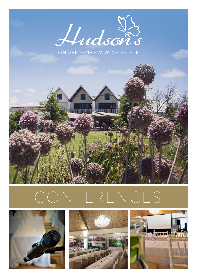

ON VREDENHEIM WINE ESTATE



# CONFERENCES





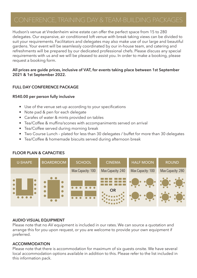Hudson's venue at Vredenheim wine estate can offer the perfect space from 15 to 280 delegates. Our expansive, air conditioned loft venue with break taking views can be divided to suit your requirements. Facilitators and delegates may also make use of our large and beautiful gardens. Your event will be seamlessly coordinated by our in-house team, and catering and refreshments will be prepared by our dedicated professional chefs. Please discuss any special requirements with us and we will be pleased to assist you. In order to make a booking, please request a booking form.

# **All prices are guide prices, inclusive of VAT, for events taking place between 1st September 2021 & 1st September 2022.**

# **FULL DAY CONFERENCE PACKAGE**

# **R540.00 per person fully inclusive**

- Use of the venue set-up according to your specifications
- Note pad & pen for each delegate
- Carafes of water & mints provided on tables
- Tea/Coffee & muffins/scones with accompaniments served on arrival
- Tea/Coffee served during morning break
- Two Course Lunch plated for less than 30 delegates / buffet for more than 30 delegates
- Tea/Coffee & homemade biscuits served during afternoon break



# **FLOOR PLAN & CAPACITIES**

### **AUDIO VISUAL EQUIPMENT**

Please note that no AV equipment is included in our rates. We can source a quotation and arrange this for you upon request, or you are welcome to provide your own equipment if preferred.

# **ACCOMMODATION**

Please note that there is accommodation for maximum of six guests onsite. We have several local accommodation options available in addition to this. Please refer to the list included in this information pack.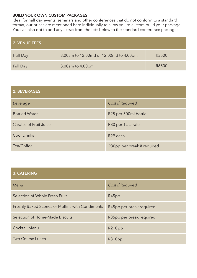# **BUILD YOUR OWN CUSTOM PACKAGES**

Ideal for half day events, seminars and other conferences that do not conform to a standard format, our prices are mentioned here individually to allow you to custom build your package. You can also opt to add any extras from the lists below to the standard conference packages.

| 2. VENUE FEES |                                        |       |
|---------------|----------------------------------------|-------|
| Half Day      | 8.00am to 12.00md or 12.00md to 4.00pm | R3500 |
| Full Day      | 8.00am to 4.00pm                       | R6500 |

| 2. BEVERAGES                  |                             |
|-------------------------------|-----------------------------|
| Beverage                      | <b>Cost If Required</b>     |
| <b>Bottled Water</b>          | R25 per 500ml bottle        |
| <b>Carafes of Fruit Juice</b> | R80 per 1L carafe           |
| <b>Cool Drinks</b>            | R <sub>29</sub> each        |
| Tea/Coffee                    | R30pp per break if required |

# **3. CATERING**

| Menu                                            | <b>Cost If Required</b>  |
|-------------------------------------------------|--------------------------|
| Selection of Whole Fresh Fruit                  | R45pp                    |
| Freshly Baked Scones or Muffins with Condiments | R45pp per break required |
| Selection of Home-Made Biscuits                 | R35pp per break required |
| <b>Cocktail Menu</b>                            | R210pp                   |
| Two Course Lunch                                | R310pp                   |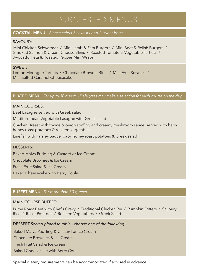# **COCKTAIL MENU** *Please select 3 savoury and 2 sweet items*

# SAVOURY:

Mini Chicken Schwarmas / Mini Lamb & Feta Burgers / Mini Beef & Relish Burgers / Smoked Salmon & Cream Cheese Blinis / Roasted Tomato & Vegetable Tartlets / Avocado, Feta & Roasted Pepper Mini Wraps

# SWEET:

Lemon Meringue Tartlets / Chocolate Brownie Bites / Mini Fruit Sosaties / Mini Salted Caramel Cheesecake

# **PLATED MENU** *For up to 30 guests - Delegates may make a selection for each course on the day*

# MAIN COURSES:

Beef Lasagne served with Greek salad

Mediterranean Vegetable Lasagne with Greek salad

Chicken Breast with thyme & onion stuffing and creamy mushroom sauce, served with baby honey roast potatoes & roasted vegetables

Linefish with Parsley Sauce, baby honey roast potatoes & Greek salad

### DESSERTS:

Baked Malva Pudding & Custard or Ice Cream

Chocolate Brownies & Ice Cream

Fresh Fruit Salad & Ice Cream

Baked Cheesecake with Berry Coulis

# **BUFFET MENU** *For more than 30 guests*

# MAIN COURSE BUFFET:

Prime Roast Beef with Chef's Gravy / Traditional Chicken Pie / Pumpkin Fritters / Savoury Rice / Roast Potatoes / Roasted Vegetables / Greek Salad

DESSERT *Served plated to table - choose one of the following:*

Baked Malva Pudding & Custard or Ice Cream

Chocolate Brownies & Ice Cream

Fresh Fruit Salad & Ice Cream

Baked Cheesecake with Berry Coulis

Special dietary requirements can be accommodated if advised in advance.